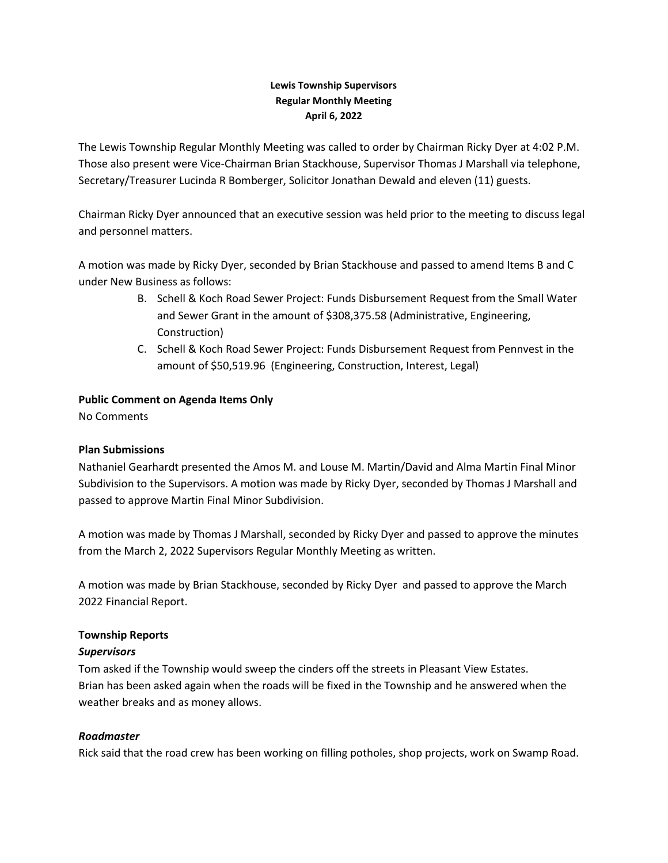## **Lewis Township Supervisors Regular Monthly Meeting April 6, 2022**

The Lewis Township Regular Monthly Meeting was called to order by Chairman Ricky Dyer at 4:02 P.M. Those also present were Vice-Chairman Brian Stackhouse, Supervisor Thomas J Marshall via telephone, Secretary/Treasurer Lucinda R Bomberger, Solicitor Jonathan Dewald and eleven (11) guests.

Chairman Ricky Dyer announced that an executive session was held prior to the meeting to discuss legal and personnel matters.

A motion was made by Ricky Dyer, seconded by Brian Stackhouse and passed to amend Items B and C under New Business as follows:

- B. Schell & Koch Road Sewer Project: Funds Disbursement Request from the Small Water and Sewer Grant in the amount of \$308,375.58 (Administrative, Engineering, Construction)
- C. Schell & Koch Road Sewer Project: Funds Disbursement Request from Pennvest in the amount of \$50,519.96 (Engineering, Construction, Interest, Legal)

# **Public Comment on Agenda Items Only**

No Comments

# **Plan Submissions**

Nathaniel Gearhardt presented the Amos M. and Louse M. Martin/David and Alma Martin Final Minor Subdivision to the Supervisors. A motion was made by Ricky Dyer, seconded by Thomas J Marshall and passed to approve Martin Final Minor Subdivision.

A motion was made by Thomas J Marshall, seconded by Ricky Dyer and passed to approve the minutes from the March 2, 2022 Supervisors Regular Monthly Meeting as written.

A motion was made by Brian Stackhouse, seconded by Ricky Dyer and passed to approve the March 2022 Financial Report.

### **Township Reports**

### *Supervisors*

Tom asked if the Township would sweep the cinders off the streets in Pleasant View Estates. Brian has been asked again when the roads will be fixed in the Township and he answered when the weather breaks and as money allows.

# *Roadmaster*

Rick said that the road crew has been working on filling potholes, shop projects, work on Swamp Road.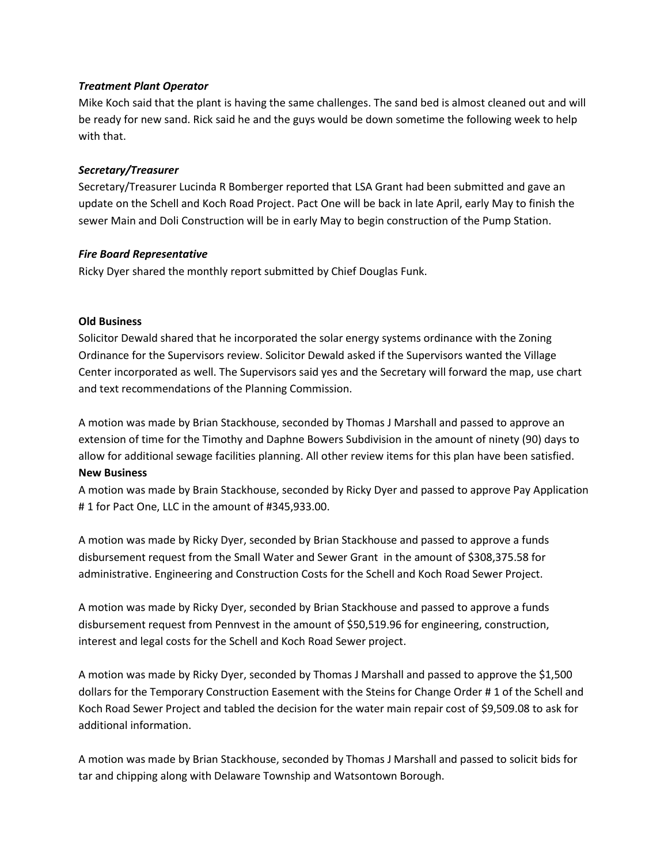### *Treatment Plant Operator*

Mike Koch said that the plant is having the same challenges. The sand bed is almost cleaned out and will be ready for new sand. Rick said he and the guys would be down sometime the following week to help with that.

#### *Secretary/Treasurer*

Secretary/Treasurer Lucinda R Bomberger reported that LSA Grant had been submitted and gave an update on the Schell and Koch Road Project. Pact One will be back in late April, early May to finish the sewer Main and Doli Construction will be in early May to begin construction of the Pump Station.

#### *Fire Board Representative*

Ricky Dyer shared the monthly report submitted by Chief Douglas Funk.

#### **Old Business**

Solicitor Dewald shared that he incorporated the solar energy systems ordinance with the Zoning Ordinance for the Supervisors review. Solicitor Dewald asked if the Supervisors wanted the Village Center incorporated as well. The Supervisors said yes and the Secretary will forward the map, use chart and text recommendations of the Planning Commission.

A motion was made by Brian Stackhouse, seconded by Thomas J Marshall and passed to approve an extension of time for the Timothy and Daphne Bowers Subdivision in the amount of ninety (90) days to allow for additional sewage facilities planning. All other review items for this plan have been satisfied. **New Business**

A motion was made by Brain Stackhouse, seconded by Ricky Dyer and passed to approve Pay Application # 1 for Pact One, LLC in the amount of #345,933.00.

A motion was made by Ricky Dyer, seconded by Brian Stackhouse and passed to approve a funds disbursement request from the Small Water and Sewer Grant in the amount of \$308,375.58 for administrative. Engineering and Construction Costs for the Schell and Koch Road Sewer Project.

A motion was made by Ricky Dyer, seconded by Brian Stackhouse and passed to approve a funds disbursement request from Pennvest in the amount of \$50,519.96 for engineering, construction, interest and legal costs for the Schell and Koch Road Sewer project.

A motion was made by Ricky Dyer, seconded by Thomas J Marshall and passed to approve the \$1,500 dollars for the Temporary Construction Easement with the Steins for Change Order # 1 of the Schell and Koch Road Sewer Project and tabled the decision for the water main repair cost of \$9,509.08 to ask for additional information.

A motion was made by Brian Stackhouse, seconded by Thomas J Marshall and passed to solicit bids for tar and chipping along with Delaware Township and Watsontown Borough.